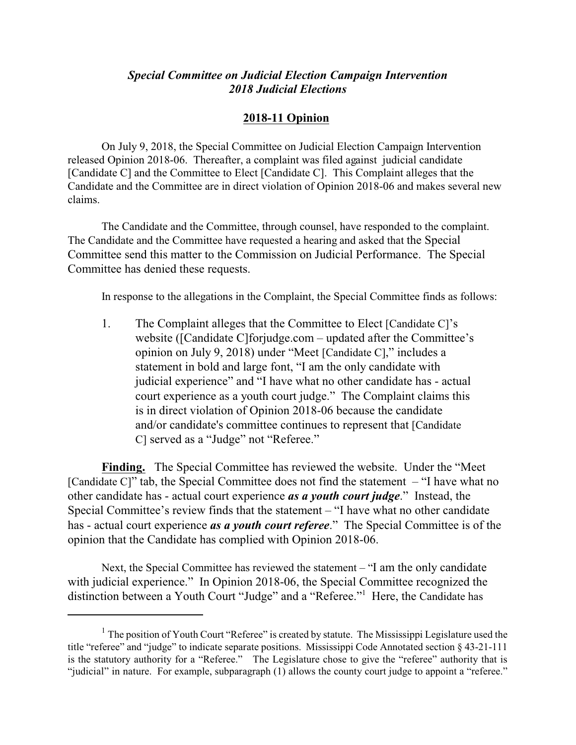## *Special Committee on Judicial Election Campaign Intervention 2018 Judicial Elections*

## **2018-11 Opinion**

On July 9, 2018, the Special Committee on Judicial Election Campaign Intervention released Opinion 2018-06. Thereafter, a complaint was filed against judicial candidate [Candidate C] and the Committee to Elect [Candidate C]. This Complaint alleges that the Candidate and the Committee are in direct violation of Opinion 2018-06 and makes several new claims.

The Candidate and the Committee, through counsel, have responded to the complaint. The Candidate and the Committee have requested a hearing and asked that the Special Committee send this matter to the Commission on Judicial Performance. The Special Committee has denied these requests.

In response to the allegations in the Complaint, the Special Committee finds as follows:

1. The Complaint alleges that the Committee to Elect [Candidate C]'s website ([Candidate C]forjudge.com – updated after the Committee's opinion on July 9, 2018) under "Meet [Candidate C]," includes a statement in bold and large font, "I am the only candidate with judicial experience" and "I have what no other candidate has - actual court experience as a youth court judge." The Complaint claims this is in direct violation of Opinion 2018-06 because the candidate and/or candidate's committee continues to represent that [Candidate C] served as a "Judge" not "Referee."

**Finding.** The Special Committee has reviewed the website. Under the "Meet [Candidate C]" tab, the Special Committee does not find the statement – "I have what no other candidate has - actual court experience *as a youth court judge*." Instead, the Special Committee's review finds that the statement – "I have what no other candidate has - actual court experience *as a youth court referee*." The Special Committee is of the opinion that the Candidate has complied with Opinion 2018-06.

Next, the Special Committee has reviewed the statement – "I am the only candidate with judicial experience." In Opinion 2018-06, the Special Committee recognized the distinction between a Youth Court "Judge" and a "Referee."<sup>1</sup> Here, the Candidate has

 $1$  The position of Youth Court "Referee" is created by statute. The Mississippi Legislature used the title "referee" and "judge" to indicate separate positions. Mississippi Code Annotated section § 43-21-111 is the statutory authority for a "Referee." The Legislature chose to give the "referee" authority that is "judicial" in nature. For example, subparagraph (1) allows the county court judge to appoint a "referee."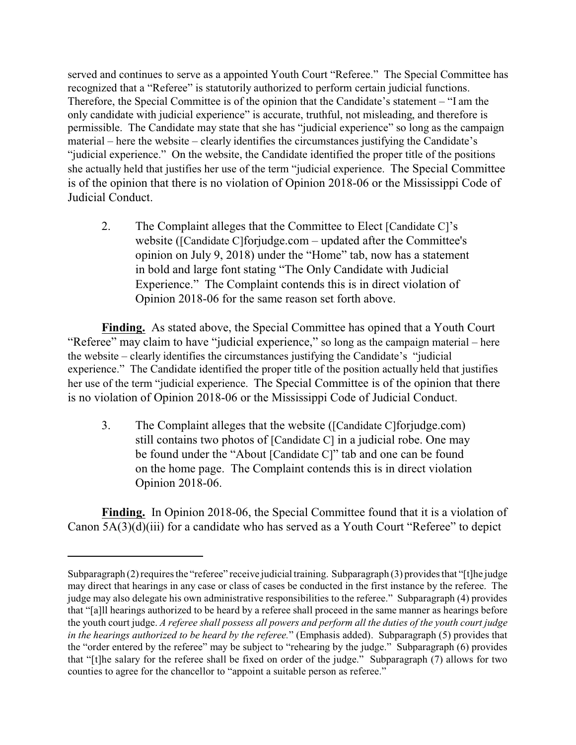served and continues to serve as a appointed Youth Court "Referee." The Special Committee has recognized that a "Referee" is statutorily authorized to perform certain judicial functions. Therefore, the Special Committee is of the opinion that the Candidate's statement – "I am the only candidate with judicial experience" is accurate, truthful, not misleading, and therefore is permissible. The Candidate may state that she has "judicial experience" so long as the campaign material – here the website – clearly identifies the circumstances justifying the Candidate's "judicial experience." On the website, the Candidate identified the proper title of the positions she actually held that justifies her use of the term "judicial experience. The Special Committee is of the opinion that there is no violation of Opinion 2018-06 or the Mississippi Code of Judicial Conduct.

2. The Complaint alleges that the Committee to Elect [Candidate C]'s website ([Candidate C]forjudge.com – updated after the Committee's opinion on July 9, 2018) under the "Home" tab, now has a statement in bold and large font stating "The Only Candidate with Judicial Experience." The Complaint contends this is in direct violation of Opinion 2018-06 for the same reason set forth above.

**Finding.** As stated above, the Special Committee has opined that a Youth Court "Referee" may claim to have "judicial experience," so long as the campaign material – here the website – clearly identifies the circumstances justifying the Candidate's "judicial experience." The Candidate identified the proper title of the position actually held that justifies her use of the term "judicial experience. The Special Committee is of the opinion that there is no violation of Opinion 2018-06 or the Mississippi Code of Judicial Conduct.

3. The Complaint alleges that the website ([Candidate C]forjudge.com) still contains two photos of [Candidate C] in a judicial robe. One may be found under the "About [Candidate C]" tab and one can be found on the home page. The Complaint contends this is in direct violation Opinion 2018-06.

**Finding.** In Opinion 2018-06, the Special Committee found that it is a violation of Canon 5A(3)(d)(iii) for a candidate who has served as a Youth Court "Referee" to depict

Subparagraph (2) requires the "referee" receive judicial training. Subparagraph (3) provides that "[t]he judge may direct that hearings in any case or class of cases be conducted in the first instance by the referee. The judge may also delegate his own administrative responsibilities to the referee." Subparagraph (4) provides that "[a]ll hearings authorized to be heard by a referee shall proceed in the same manner as hearings before the youth court judge. *A referee shall possess all powers and perform all the duties of the youth court judge in the hearings authorized to be heard by the referee.*" (Emphasis added). Subparagraph (5) provides that the "order entered by the referee" may be subject to "rehearing by the judge." Subparagraph (6) provides that "[t]he salary for the referee shall be fixed on order of the judge." Subparagraph (7) allows for two counties to agree for the chancellor to "appoint a suitable person as referee."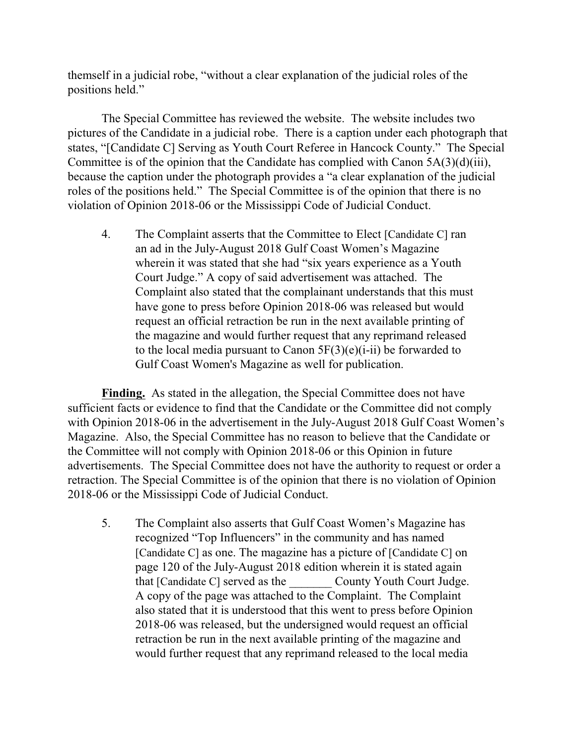themself in a judicial robe, "without a clear explanation of the judicial roles of the positions held."

The Special Committee has reviewed the website. The website includes two pictures of the Candidate in a judicial robe. There is a caption under each photograph that states, "[Candidate C] Serving as Youth Court Referee in Hancock County." The Special Committee is of the opinion that the Candidate has complied with Canon 5A(3)(d)(iii), because the caption under the photograph provides a "a clear explanation of the judicial roles of the positions held." The Special Committee is of the opinion that there is no violation of Opinion 2018-06 or the Mississippi Code of Judicial Conduct.

4. The Complaint asserts that the Committee to Elect [Candidate C] ran an ad in the July-August 2018 Gulf Coast Women's Magazine wherein it was stated that she had "six years experience as a Youth Court Judge." A copy of said advertisement was attached. The Complaint also stated that the complainant understands that this must have gone to press before Opinion 2018-06 was released but would request an official retraction be run in the next available printing of the magazine and would further request that any reprimand released to the local media pursuant to Canon  $5F(3)(e)(i-ii)$  be forwarded to Gulf Coast Women's Magazine as well for publication.

**Finding.** As stated in the allegation, the Special Committee does not have sufficient facts or evidence to find that the Candidate or the Committee did not comply with Opinion 2018-06 in the advertisement in the July-August 2018 Gulf Coast Women's Magazine. Also, the Special Committee has no reason to believe that the Candidate or the Committee will not comply with Opinion 2018-06 or this Opinion in future advertisements. The Special Committee does not have the authority to request or order a retraction. The Special Committee is of the opinion that there is no violation of Opinion 2018-06 or the Mississippi Code of Judicial Conduct.

5. The Complaint also asserts that Gulf Coast Women's Magazine has recognized "Top Influencers" in the community and has named [Candidate C] as one. The magazine has a picture of [Candidate C] on page 120 of the July-August 2018 edition wherein it is stated again that [Candidate C] served as the County Youth Court Judge. A copy of the page was attached to the Complaint. The Complaint also stated that it is understood that this went to press before Opinion 2018-06 was released, but the undersigned would request an official retraction be run in the next available printing of the magazine and would further request that any reprimand released to the local media